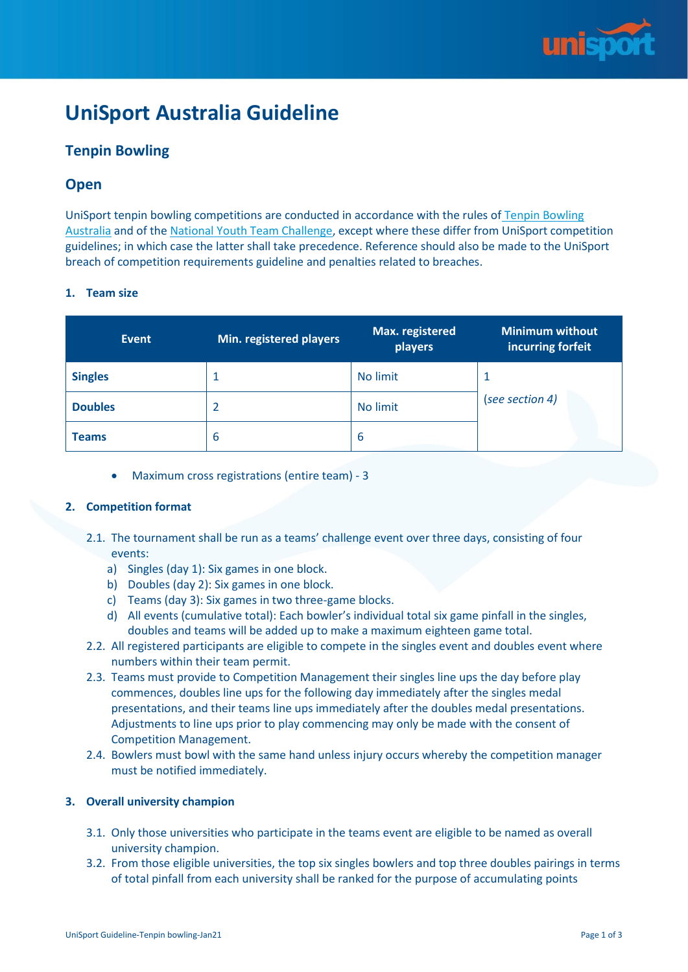

# **UniSport Australia Guideline**

# **Tenpin Bowling**

# **Open**

UniSport tenpin bowling competitions are conducted in accordance with the rules of [Tenpin Bowling](https://www.tenpin.org.au/wp-content/uploads/2020/01/TBA-Rule-Book-V12.4.pdf)  [Australia](https://www.tenpin.org.au/wp-content/uploads/2020/01/TBA-Rule-Book-V12.4.pdf) and of the [National Youth Team Challenge,](https://www.tenpin.org.au/wp-content/uploads/2019/08/National-Youth-Team-Challenge-V6.7-23-07-19.pdf) except where these differ from UniSport competition guidelines; in which case the latter shall take precedence. Reference should also be made to the UniSport breach of competition requirements guideline and penalties related to breaches.

## **1. Team size**

| <b>Event</b>   | Min. registered players | Max. registered<br>players | <b>Minimum without</b><br>incurring forfeit |  |  |
|----------------|-------------------------|----------------------------|---------------------------------------------|--|--|
| <b>Singles</b> |                         | No limit                   | 1                                           |  |  |
| <b>Doubles</b> |                         | No limit                   | (see section 4)                             |  |  |
| Teams          | 6                       | 6                          |                                             |  |  |

• Maximum cross registrations (entire team) - 3

## **2. Competition format**

- 2.1. The tournament shall be run as a teams' challenge event over three days, consisting of four events:
	- a) Singles (day 1): Six games in one block.
	- b) Doubles (day 2): Six games in one block.
	- c) Teams (day 3): Six games in two three-game blocks.
	- d) All events (cumulative total): Each bowler's individual total six game pinfall in the singles, doubles and teams will be added up to make a maximum eighteen game total.
- 2.2. All registered participants are eligible to compete in the singles event and doubles event where numbers within their team permit.
- 2.3. Teams must provide to Competition Management their singles line ups the day before play commences, doubles line ups for the following day immediately after the singles medal presentations, and their teams line ups immediately after the doubles medal presentations. Adjustments to line ups prior to play commencing may only be made with the consent of Competition Management.
- 2.4. Bowlers must bowl with the same hand unless injury occurs whereby the competition manager must be notified immediately.

## **3. Overall university champion**

- 3.1. Only those universities who participate in the teams event are eligible to be named as overall university champion.
- 3.2. From those eligible universities, the top six singles bowlers and top three doubles pairings in terms of total pinfall from each university shall be ranked for the purpose of accumulating points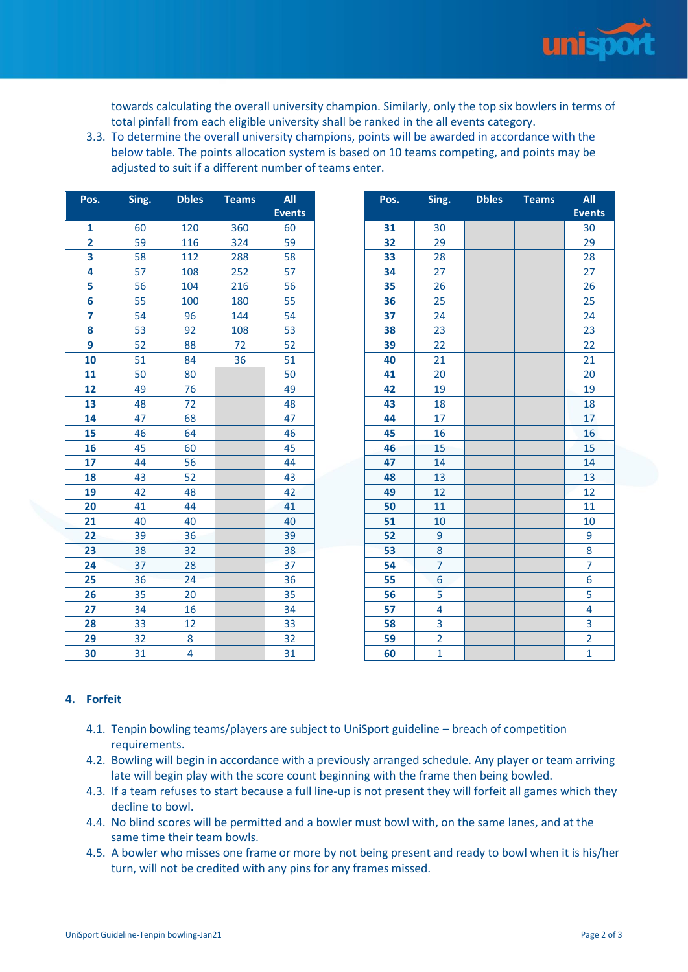

towards calculating the overall university champion. Similarly, only the top six bowlers in terms of total pinfall from each eligible university shall be ranked in the all events category.

3.3. To determine the overall university champions, points will be awarded in accordance with the below table. The points allocation system is based on 10 teams competing, and points may be adjusted to suit if a different number of teams enter.

| Pos.            | Sing. | <b>Dbles</b> | <b>Teams</b> | All           | Pos. | Sing.          | <b>Dbles</b> | <b>Teams</b> | $\mathbf{A}$   |
|-----------------|-------|--------------|--------------|---------------|------|----------------|--------------|--------------|----------------|
|                 |       |              |              | <b>Events</b> |      |                |              |              | <b>Eve</b>     |
| $\mathbf{1}$    | 60    | 120          | 360          | 60            | 31   | 30             |              |              | 3 <sup>0</sup> |
| $\overline{2}$  | 59    | 116          | 324          | 59            | 32   | 29             |              |              | 2 <sup>0</sup> |
| 3               | 58    | 112          | 288          | 58            | 33   | 28             |              |              | 2 <sup>i</sup> |
| 4               | 57    | 108          | 252          | 57            | 34   | 27             |              |              | $2^{\circ}$    |
| 5               | 56    | 104          | 216          | 56            | 35   | 26             |              |              | $\overline{2}$ |
| $6\phantom{1}6$ | 55    | 100          | 180          | 55            | 36   | 25             |              |              | 2!             |
| 7               | 54    | 96           | 144          | 54            | 37   | 24             |              |              | 2 <sub>4</sub> |
| 8               | 53    | 92           | 108          | 53            | 38   | 23             |              |              | 2              |
| 9               | 52    | 88           | 72           | 52            | 39   | 22             |              |              | 2 <sup>2</sup> |
| 10              | 51    | 84           | 36           | 51            | 40   | 21             |              |              | 2              |
| 11              | 50    | 80           |              | 50            | 41   | 20             |              |              | $\overline{2}$ |
| 12              | 49    | 76           |              | 49            | 42   | 19             |              |              | 1 <sup>1</sup> |
| 13              | 48    | 72           |              | 48            | 43   | 18             |              |              | $\mathbf{1}$   |
| 14              | 47    | 68           |              | 47            | 44   | 17             |              |              | $\mathbf{1}$   |
| 15              | 46    | 64           |              | 46            | 45   | 16             |              |              | $\mathbf{1}$   |
| 16              | 45    | 60           |              | 45            | 46   | 15             |              |              | 1!             |
| 17              | 44    | 56           |              | 44            | 47   | 14             |              |              | 1 <sub>0</sub> |
| 18              | 43    | 52           |              | 43            | 48   | 13             |              |              | $\mathbf{1}$   |
| 19              | 42    | 48           |              | 42            | 49   | 12             |              |              | $\mathbf{1}$   |
| 20              | 41    | 44           |              | 41            | 50   | 11             |              |              | $\mathbf{1}$   |
| 21              | 40    | 40           |              | 40            | 51   | 10             |              |              | $\mathbf{1}$   |
| 22              | 39    | 36           |              | 39            | 52   | 9              |              |              | 9              |
| 23              | 38    | 32           |              | 38            | 53   | 8              |              |              | 8              |
| 24              | 37    | 28           |              | 37            | 54   | $\overline{7}$ |              |              | 7              |
| 25              | 36    | 24           |              | 36            | 55   | 6              |              |              | 6              |
| 26              | 35    | 20           |              | 35            | 56   | 5              |              |              | 5              |
| 27              | 34    | 16           |              | 34            | 57   | 4              |              |              | 4              |
| 28              | 33    | 12           |              | 33            | 58   | 3              |              |              | $\overline{3}$ |
| 29              | 32    | 8            |              | 32            | 59   | $\overline{2}$ |              |              | $\overline{a}$ |
| 30              | 31    | 4            |              | 31            | 60   | $\mathbf{1}$   |              |              | $\mathbf{1}$   |

| os.                     | Sing. | <b>Dbles</b> | <b>Teams</b> | All           | Pos. | Sing.          | <b>Dbles</b> | <b>Teams</b> | <b>All</b>     |
|-------------------------|-------|--------------|--------------|---------------|------|----------------|--------------|--------------|----------------|
|                         |       |              |              | <b>Events</b> |      |                |              |              | <b>Events</b>  |
| $\mathbf{1}$            | 60    | 120          | 360          | 60            | 31   | 30             |              |              | 30             |
| $\mathbf{2}$            | 59    | 116          | 324          | 59            | 32   | 29             |              |              | 29             |
| $\overline{\mathbf{3}}$ | 58    | 112          | 288          | 58            | 33   | 28             |              |              | 28             |
| 4                       | 57    | 108          | 252          | 57            | 34   | 27             |              |              | 27             |
| 5                       | 56    | 104          | 216          | 56            | 35   | 26             |              |              | 26             |
| 6                       | 55    | 100          | 180          | 55            | 36   | 25             |              |              | 25             |
| $\overline{\mathbf{z}}$ | 54    | 96           | 144          | 54            | 37   | 24             |              |              | 24             |
| 8                       | 53    | 92           | 108          | 53            | 38   | 23             |              |              | 23             |
| 9                       | 52    | 88           | 72           | 52            | 39   | 22             |              |              | 22             |
| 10                      | 51    | 84           | 36           | 51            | 40   | 21             |              |              | 21             |
| 11                      | 50    | 80           |              | 50            | 41   | 20             |              |              | 20             |
| 12                      | 49    | 76           |              | 49            | 42   | 19             |              |              | 19             |
| 13                      | 48    | 72           |              | 48            | 43   | 18             |              |              | 18             |
| 14                      | 47    | 68           |              | 47            | 44   | 17             |              |              | 17             |
| 15                      | 46    | 64           |              | 46            | 45   | 16             |              |              | 16             |
| 16                      | 45    | 60           |              | 45            | 46   | 15             |              |              | 15             |
| 17                      | 44    | 56           |              | 44            | 47   | 14             |              |              | 14             |
| 18                      | 43    | 52           |              | 43            | 48   | 13             |              |              | 13             |
| 19                      | 42    | 48           |              | 42            | 49   | 12             |              |              | 12             |
| 20                      | 41    | 44           |              | 41            | 50   | 11             |              |              | 11             |
| 21                      | 40    | 40           |              | 40            | 51   | 10             |              |              | 10             |
| 22                      | 39    | 36           |              | 39            | 52   | 9              |              |              | 9              |
| 23                      | 38    | 32           |              | 38            | 53   | 8              |              |              | 8              |
| 24                      | 37    | 28           |              | 37            | 54   | 7              |              |              | 7              |
| 25                      | 36    | 24           |              | 36            | 55   | 6              |              |              | 6              |
| 26                      | 35    | 20           |              | 35            | 56   | 5              |              |              | 5              |
| 27                      | 34    | 16           |              | 34            | 57   | 4              |              |              | 4              |
| 28                      | 33    | 12           |              | 33            | 58   | 3              |              |              | 3              |
| 29                      | 32    | 8            |              | 32            | 59   | $\overline{2}$ |              |              | $\overline{2}$ |
| 30                      | 31    | 4            |              | 31            | 60   | $\mathbf{1}$   |              |              | 1              |

## **4. Forfeit**

- 4.1. Tenpin bowling teams/players are subject to UniSport guideline breach of competition requirements.
- 4.2. Bowling will begin in accordance with a previously arranged schedule. Any player or team arriving late will begin play with the score count beginning with the frame then being bowled.
- 4.3. If a team refuses to start because a full line-up is not present they will forfeit all games which they decline to bowl.
- 4.4. No blind scores will be permitted and a bowler must bowl with, on the same lanes, and at the same time their team bowls.
- 4.5. A bowler who misses one frame or more by not being present and ready to bowl when it is his/her turn, will not be credited with any pins for any frames missed.